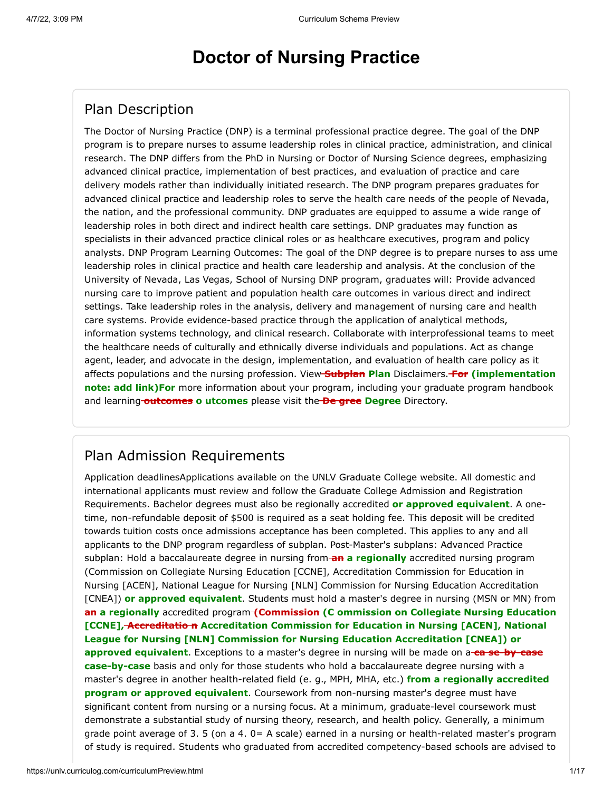# **Doctor of Nursing Practice**

## Plan Description

The Doctor of Nursing Practice (DNP) is a terminal professional practice degree. The goal of the DNP program is to prepare nurses to assume leadership roles in clinical practice, administration, and clinical research. The DNP differs from the PhD in Nursing or Doctor of Nursing Science degrees, emphasizing advanced clinical practice, implementation of best practices, and evaluation of practice and care delivery models rather than individually initiated research. The DNP program prepares graduates for advanced clinical practice and leadership roles to serve the health care needs of the people of Nevada, the nation, and the professional community. DNP graduates are equipped to assume a wide range of leadership roles in both direct and indirect health care settings. DNP graduates may function as specialists in their advanced practice clinical roles or as healthcare executives, program and policy analysts. DNP Program Learning Outcomes: The goal of the DNP degree is to prepare nurses to ass ume leadership roles in clinical practice and health care leadership and analysis. At the conclusion of the University of Nevada, Las Vegas, School of Nursing DNP program, graduates will: Provide advanced nursing care to improve patient and population health care outcomes in various direct and indirect settings. Take leadership roles in the analysis, delivery and management of nursing care and health care systems. Provide evidence-based practice through the application of analytical methods, information systems technology, and clinical research. Collaborate with interprofessional teams to meet the healthcare needs of culturally and ethnically diverse individuals and populations. Act as change agent, leader, and advocate in the design, implementation, and evaluation of health care policy as it affects populations and the nursing profession. View **Subplan Plan** Disclaimers. **For (implementation note: add link)For** more information about your program, including your graduate program handbook and learning-**outcomes o utcomes** please visit the-**De gree Degree** Directory.

## Plan Admission Requirements

Application deadlinesApplications available on the UNLV Graduate College website. All domestic and international applicants must review and follow the Graduate College Admission and Registration Requirements. Bachelor degrees must also be regionally accredited **or approved equivalent**. A onetime, non-refundable deposit of \$500 is required as a seat holding fee. This deposit will be credited towards tuition costs once admissions acceptance has been completed. This applies to any and all applicants to the DNP program regardless of subplan. Post-Master's subplans: Advanced Practice subplan: Hold a baccalaureate degree in nursing from-**an a regionally** accredited nursing program (Commission on Collegiate Nursing Education [CCNE], Accreditation Commission for Education in Nursing [ACEN], National League for Nursing [NLN] Commission for Nursing Education Accreditation [CNEA]) **or approved equivalent**. Students must hold a master's degree in nursing (MSN or MN) from **an a regionally** accredited program **(Commission (C ommission on Collegiate Nursing Education [CCNE], Accreditatio n Accreditation Commission for Education in Nursing [ACEN], National League for Nursing [NLN] Commission for Nursing Education Accreditation [CNEA]) or approved equivalent**. Exceptions to a master's degree in nursing will be made on a **ca se-by-case case-by-case** basis and only for those students who hold a baccalaureate degree nursing with a master's degree in another health-related field (e. g., MPH, MHA, etc.) **from a regionally accredited program or approved equivalent**. Coursework from non-nursing master's degree must have significant content from nursing or a nursing focus. At a minimum, graduate-level coursework must demonstrate a substantial study of nursing theory, research, and health policy. Generally, a minimum grade point average of 3. 5 (on a 4. 0= A scale) earned in a nursing or health-related master's program of study is required. Students who graduated from accredited competency-based schools are advised to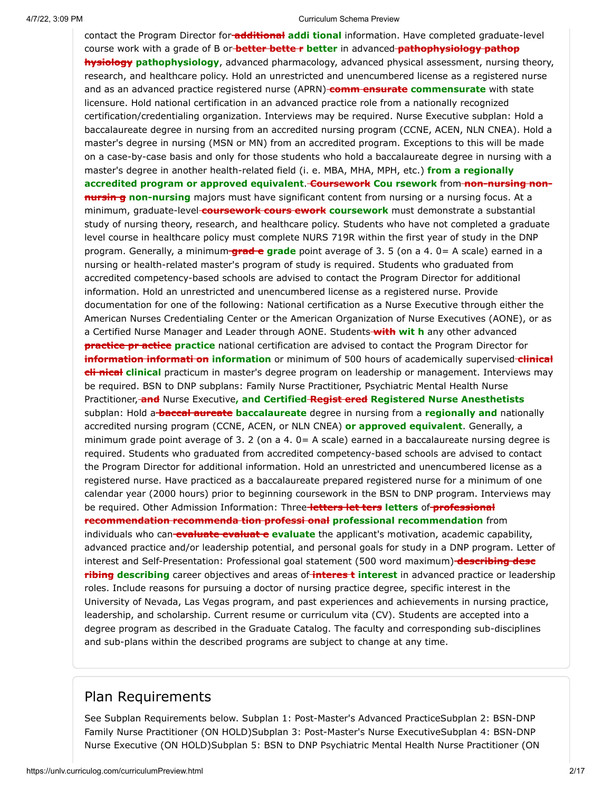contact the Program Director for **additional addi tional** information. Have completed graduate-level course work with a grade of B or **better bette r better** in advanced **pathophysiology pathop hysiology pathophysiology**, advanced pharmacology, advanced physical assessment, nursing theory, research, and healthcare policy. Hold an unrestricted and unencumbered license as a registered nurse and as an advanced practice registered nurse (APRN)-**comm ensurate commensurate** with state licensure. Hold national certification in an advanced practice role from a nationally recognized certification/credentialing organization. Interviews may be required. Nurse Executive subplan: Hold a baccalaureate degree in nursing from an accredited nursing program (CCNE, ACEN, NLN CNEA). Hold a master's degree in nursing (MSN or MN) from an accredited program. Exceptions to this will be made on a case-by-case basis and only for those students who hold a baccalaureate degree in nursing with a master's degree in another health-related field (i. e. MBA, MHA, MPH, etc.) **from a regionally** accredited program or approved equivalent. **Coursework** Cou rsework from non-nursing non**nursing** non-nursing majors must have significant content from nursing or a nursing focus. At a minimum, graduate-level **coursework cours ework coursework** must demonstrate a substantial study of nursing theory, research, and healthcare policy. Students who have not completed a graduate level course in healthcare policy must complete NURS 719R within the first year of study in the DNP program. Generally, a minimum **grad e grade** point average of 3. 5 (on a 4. 0= A scale) earned in a nursing or health-related master's program of study is required. Students who graduated from accredited competency-based schools are advised to contact the Program Director for additional information. Hold an unrestricted and unencumbered license as a registered nurse. Provide documentation for one of the following: National certification as a Nurse Executive through either the American Nurses Credentialing Center or the American Organization of Nurse Executives (AONE), or as a Certified Nurse Manager and Leader through AONE. Students **with wit h** any other advanced **practice pr actice practice** national certification are advised to contact the Program Director for **information informati on information** or minimum of 500 hours of academically supervised **clinical cli nical clinical** practicum in master's degree program on leadership or management. Interviews may be required. BSN to DNP subplans: Family Nurse Practitioner, Psychiatric Mental Health Nurse Practitioner, **and** Nurse Executive**, and Certified Regist ered Registered Nurse Anesthetists** subplan: Hold a **baccal aureate baccalaureate** degree in nursing from a **regionally and** nationally accredited nursing program (CCNE, ACEN, or NLN CNEA) **or approved equivalent**. Generally, a minimum grade point average of 3. 2 (on a 4. 0= A scale) earned in a baccalaureate nursing degree is required. Students who graduated from accredited competency-based schools are advised to contact the Program Director for additional information. Hold an unrestricted and unencumbered license as a registered nurse. Have practiced as a baccalaureate prepared registered nurse for a minimum of one calendar year (2000 hours) prior to beginning coursework in the BSN to DNP program. Interviews may be required. Other Admission Information: Three **letters let ters letters** of **professional recommendation recommenda tion professi onal professional recommendation** from individuals who can-**evaluate evaluate** evaluate the applicant's motivation, academic capability, advanced practice and/or leadership potential, and personal goals for study in a DNP program. Letter of interest and Self-Presentation: Professional goal statement (500 word maximum) **describing desc ribing describing** career objectives and areas of *interest* interest in advanced practice or leadership roles. Include reasons for pursuing a doctor of nursing practice degree, specific interest in the University of Nevada, Las Vegas program, and past experiences and achievements in nursing practice, leadership, and scholarship. Current resume or curriculum vita (CV). Students are accepted into a degree program as described in the Graduate Catalog. The faculty and corresponding sub-disciplines and sub-plans within the described programs are subject to change at any time.

### Plan Requirements

See Subplan Requirements below. Subplan 1: Post-Master's Advanced PracticeSubplan 2: BSN-DNP Family Nurse Practitioner (ON HOLD)Subplan 3: Post-Master's Nurse ExecutiveSubplan 4: BSN-DNP Nurse Executive (ON HOLD)Subplan 5: BSN to DNP Psychiatric Mental Health Nurse Practitioner (ON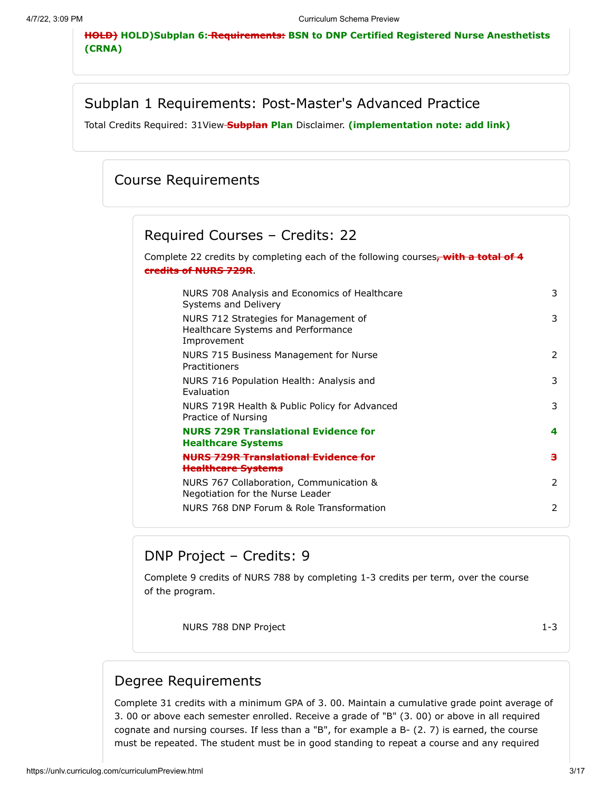**HOLD) HOLD)Subplan 6: Requirements: BSN to DNP Certified Registered Nurse Anesthetists (CRNA)**

### Subplan 1 Requirements: Post-Master's Advanced Practice

Total Credits Required: 31View **Subplan Plan** Disclaimer. **(implementation note: add link)**

### Course Requirements

## Required Courses – Credits: 22

Complete 22 credits by completing each of the following courses**, with a total of 4 credits of NURS 729R**.

| NURS 708 Analysis and Economics of Healthcare<br>Systems and Delivery                      | 3 |
|--------------------------------------------------------------------------------------------|---|
| NURS 712 Strategies for Management of<br>Healthcare Systems and Performance<br>Improvement | 3 |
| NURS 715 Business Management for Nurse<br>Practitioners                                    | 2 |
| NURS 716 Population Health: Analysis and<br><b>Evaluation</b>                              | 3 |
| NURS 719R Health & Public Policy for Advanced<br>Practice of Nursing                       | 3 |
| <b>NURS 729R Translational Evidence for</b><br><b>Healthcare Systems</b>                   | 4 |
| NURS 729R Translational Evidence for<br><b>Healthcare Systems</b>                          | з |
| NURS 767 Collaboration, Communication &<br>Negotiation for the Nurse Leader                | 2 |
| NURS 768 DNP Forum & Role Transformation                                                   | 2 |

### DNP Project – Credits: 9

Complete 9 credits of NURS 788 by completing 1-3 credits per term, over the course of the program.

NURS 788 DNP Project 1-3

### Degree Requirements

Complete 31 credits with a minimum GPA of 3. 00. Maintain a cumulative grade point average of 3. 00 or above each semester enrolled. Receive a grade of "B" (3. 00) or above in all required cognate and nursing courses. If less than a "B", for example a B- (2. 7) is earned, the course must be repeated. The student must be in good standing to repeat a course and any required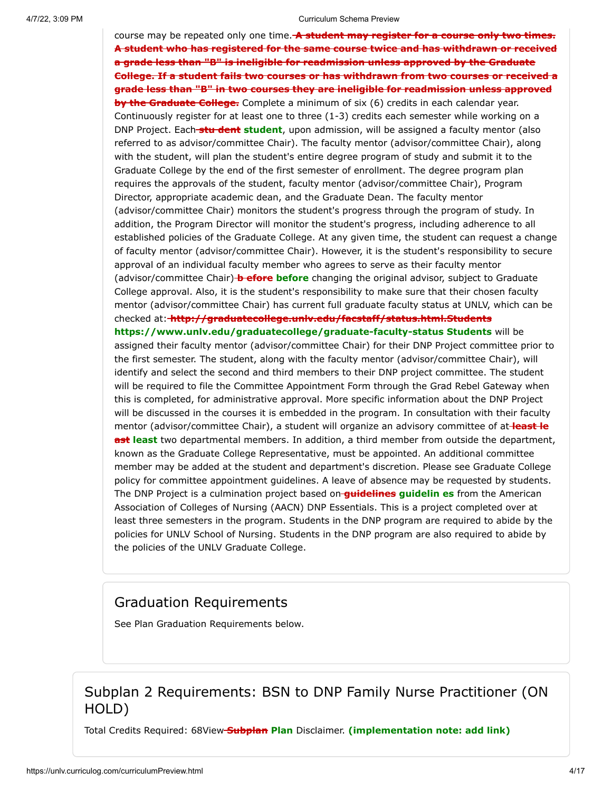course may be repeated only one time. **A student may register for a course only two times. A student who has registered for the same course twice and has withdrawn or received a grade less than "B" is ineligible for readmission unless approved by the Graduate College. If a student fails two courses or has withdrawn from two courses or received a grade less than "B" in two courses they are ineligible for readmission unless approved by the Graduate College.** Complete a minimum of six (6) credits in each calendar year. Continuously register for at least one to three (1-3) credits each semester while working on a DNP Project. Each **stu dent student**, upon admission, will be assigned a faculty mentor (also referred to as advisor/committee Chair). The faculty mentor (advisor/committee Chair), along with the student, will plan the student's entire degree program of study and submit it to the Graduate College by the end of the first semester of enrollment. The degree program plan requires the approvals of the student, faculty mentor (advisor/committee Chair), Program Director, appropriate academic dean, and the Graduate Dean. The faculty mentor (advisor/committee Chair) monitors the student's progress through the program of study. In addition, the Program Director will monitor the student's progress, including adherence to all established policies of the Graduate College. At any given time, the student can request a change of faculty mentor (advisor/committee Chair). However, it is the student's responsibility to secure approval of an individual faculty member who agrees to serve as their faculty mentor (advisor/committee Chair) **b efore before** changing the original advisor, subject to Graduate College approval. Also, it is the student's responsibility to make sure that their chosen faculty mentor (advisor/committee Chair) has current full graduate faculty status at UNLV, which can be checked at: **http://graduatecollege.unlv.edu/facstaff/status.html.Students https://www.unlv.edu/graduatecollege/graduate-faculty-status Students** will be assigned their faculty mentor (advisor/committee Chair) for their DNP Project committee prior to the first semester. The student, along with the faculty mentor (advisor/committee Chair), will identify and select the second and third members to their DNP project committee. The student will be required to file the Committee Appointment Form through the Grad Rebel Gateway when this is completed, for administrative approval. More specific information about the DNP Project will be discussed in the courses it is embedded in the program. In consultation with their faculty mentor (advisor/committee Chair), a student will organize an advisory committee of at **least le ast least** two departmental members. In addition, a third member from outside the department, known as the Graduate College Representative, must be appointed. An additional committee member may be added at the student and department's discretion. Please see Graduate College policy for committee appointment guidelines. A leave of absence may be requested by students. The DNP Project is a culmination project based on **guidelines guidelin es** from the American Association of Colleges of Nursing (AACN) DNP Essentials. This is a project completed over at least three semesters in the program. Students in the DNP program are required to abide by the policies for UNLV School of Nursing. Students in the DNP program are also required to abide by the policies of the UNLV Graduate College.

## Graduation Requirements

See Plan Graduation Requirements below.

### Subplan 2 Requirements: BSN to DNP Family Nurse Practitioner (ON HOLD)

Total Credits Required: 68View **Subplan Plan** Disclaimer. **(implementation note: add link)**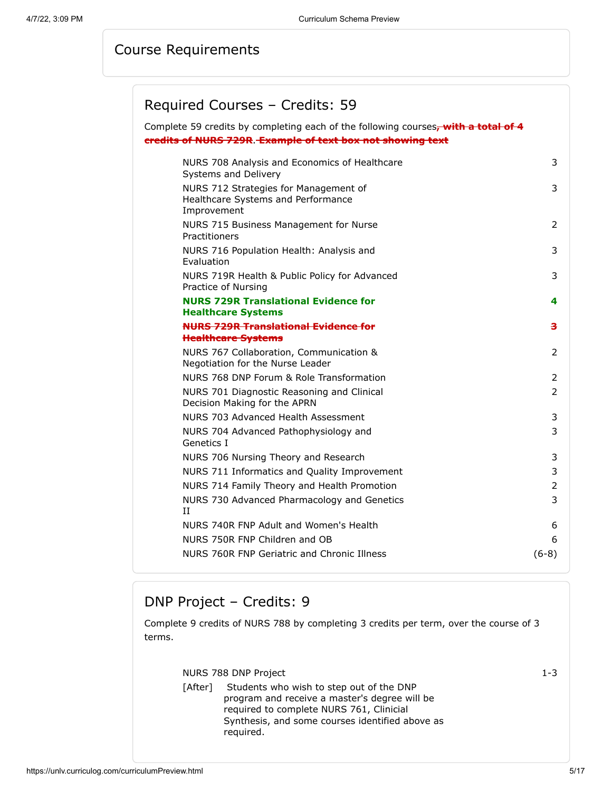# Course Requirements

# Required Courses – Credits: 59

| Complete 59 credits by completing each of the following courses, with a total of 4         |                |
|--------------------------------------------------------------------------------------------|----------------|
| credits of NURS 729R. Example of text box not showing text                                 |                |
| NURS 708 Analysis and Economics of Healthcare<br>Systems and Delivery                      | 3              |
| NURS 712 Strategies for Management of<br>Healthcare Systems and Performance<br>Improvement | 3              |
| NURS 715 Business Management for Nurse<br>Practitioners                                    | $\overline{2}$ |
| NURS 716 Population Health: Analysis and<br>Evaluation                                     | 3              |
| NURS 719R Health & Public Policy for Advanced<br>Practice of Nursing                       | 3              |
| <b>NURS 729R Translational Evidence for</b><br><b>Healthcare Systems</b>                   | 4              |
| <b>NURS 729R Translational Evidence for</b><br><b>Healthcare Systems</b>                   | з              |
| NURS 767 Collaboration, Communication &<br>Negotiation for the Nurse Leader                | $\overline{2}$ |
| NURS 768 DNP Forum & Role Transformation                                                   | 2              |
| NURS 701 Diagnostic Reasoning and Clinical<br>Decision Making for the APRN                 | $\overline{2}$ |
| NURS 703 Advanced Health Assessment                                                        | 3              |
| NURS 704 Advanced Pathophysiology and<br>Genetics I                                        | 3              |
| NURS 706 Nursing Theory and Research                                                       | 3              |
| NURS 711 Informatics and Quality Improvement                                               | 3              |
| NURS 714 Family Theory and Health Promotion                                                | 2              |
| NURS 730 Advanced Pharmacology and Genetics<br>II                                          | 3              |
| NURS 740R FNP Adult and Women's Health                                                     | 6              |
| NURS 750R FNP Children and OB                                                              | 6              |
| NURS 760R FNP Geriatric and Chronic Illness                                                | $(6-8)$        |

# DNP Project – Credits: 9

Complete 9 credits of NURS 788 by completing 3 credits per term, over the course of 3 terms.

|         | NURS 788 DNP Project                                                                                                                                                                                  | $1 - 3$ |
|---------|-------------------------------------------------------------------------------------------------------------------------------------------------------------------------------------------------------|---------|
| [After] | Students who wish to step out of the DNP<br>program and receive a master's degree will be<br>required to complete NURS 761, Clinicial<br>Synthesis, and some courses identified above as<br>required. |         |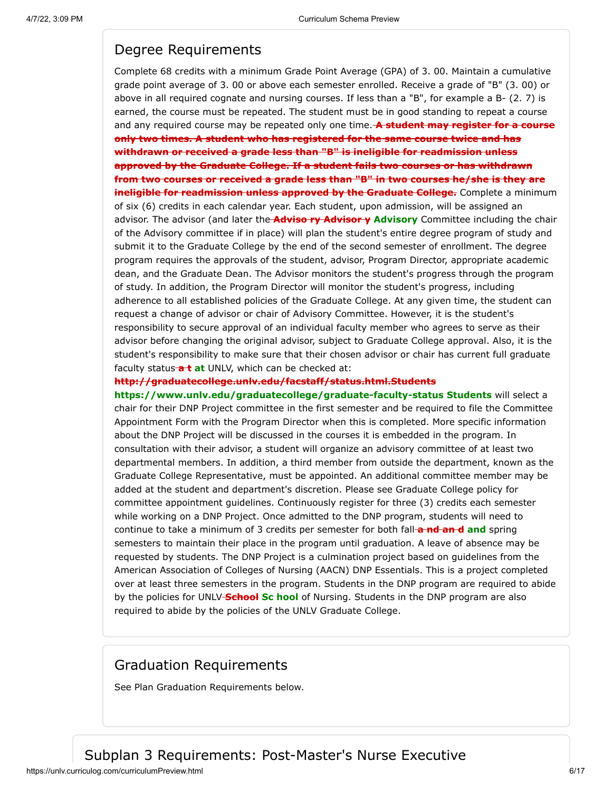### Degree Requirements

Complete 68 credits with a minimum Grade Point Average (GPA) of 3. 00. Maintain a cumulative grade point average of 3. 00 or above each semester enrolled. Receive a grade of "B" (3. 00) or above in all required cognate and nursing courses. If less than a "B", for example a B- (2. 7) is earned, the course must be repeated. The student must be in good standing to repeat a course and any required course may be repeated only one time. **A student may register for a course only two times. A student who has registered for the same course twice and has withdrawn or received a grade less than "B" is ineligible for readmission unless approved by the Graduate College. If a student fails two courses or has withdrawn from two courses or received a grade less than "B" in two courses he/she is they are ineligible for readmission unless approved by the Graduate College.** Complete a minimum of six (6) credits in each calendar year. Each student, upon admission, will be assigned an advisor. The advisor (and later the **Adviso ry Advisor y Advisory** Committee including the chair of the Advisory committee if in place) will plan the student's entire degree program of study and submit it to the Graduate College by the end of the second semester of enrollment. The degree program requires the approvals of the student, advisor, Program Director, appropriate academic dean, and the Graduate Dean. The Advisor monitors the student's progress through the program of study. In addition, the Program Director will monitor the student's progress, including adherence to all established policies of the Graduate College. At any given time, the student can request a change of advisor or chair of Advisory Committee. However, it is the student's responsibility to secure approval of an individual faculty member who agrees to serve as their advisor before changing the original advisor, subject to Graduate College approval. Also, it is the student's responsibility to make sure that their chosen advisor or chair has current full graduate faculty status<sup>-at</sup> at UNLV, which can be checked at:

#### **http://graduatecollege.unlv.edu/facstaff/status.html.Students**

**https://www.unlv.edu/graduatecollege/graduate-faculty-status Students** will select a chair for their DNP Project committee in the first semester and be required to file the Committee Appointment Form with the Program Director when this is completed. More specific information about the DNP Project will be discussed in the courses it is embedded in the program. In consultation with their advisor, a student will organize an advisory committee of at least two departmental members. In addition, a third member from outside the department, known as the Graduate College Representative, must be appointed. An additional committee member may be added at the student and department's discretion. Please see Graduate College policy for committee appointment guidelines. Continuously register for three (3) credits each semester while working on a DNP Project. Once admitted to the DNP program, students will need to continue to take a minimum of 3 credits per semester for both fall **a nd an d and** spring semesters to maintain their place in the program until graduation. A leave of absence may be requested by students. The DNP Project is a culmination project based on guidelines from the American Association of Colleges of Nursing (AACN) DNP Essentials. This is a project completed over at least three semesters in the program. Students in the DNP program are required to abide by the policies for UNLV **School Sc hool** of Nursing. Students in the DNP program are also required to abide by the policies of the UNLV Graduate College.

### Graduation Requirements

See Plan Graduation Requirements below.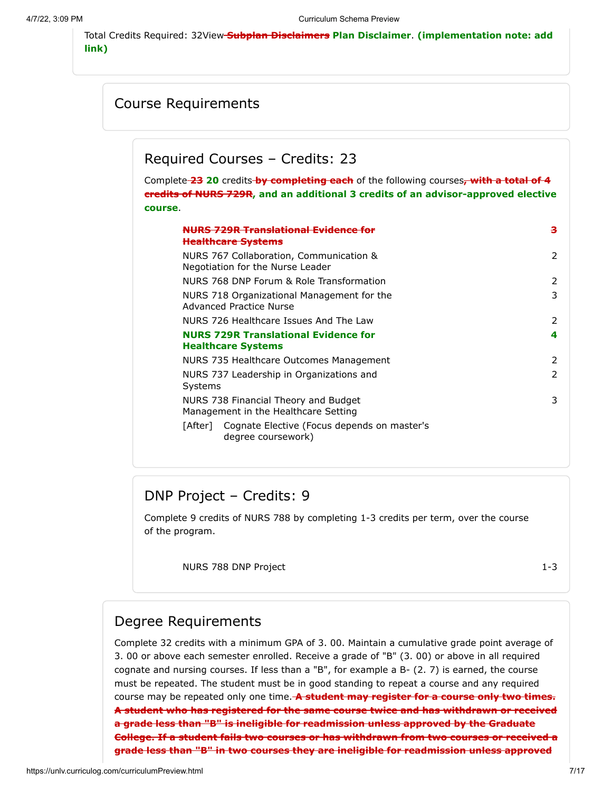Total Credits Required: 32View **Subplan Disclaimers Plan Disclaimer**. **(implementation note: add link)**

### Course Requirements

Required Courses – Credits: 23

Complete **23 20** credits **by completing each** of the following courses**, with a total of 4 credits of NURS 729R, and an additional 3 credits of an advisor-approved elective course**.

| <del>S 729R Tranelational Fwidenc</del><br><del>Healthcare Systems</del>     | з |
|------------------------------------------------------------------------------|---|
| NURS 767 Collaboration, Communication &<br>Negotiation for the Nurse Leader  | 2 |
| NURS 768 DNP Forum & Role Transformation                                     | 2 |
| NURS 718 Organizational Management for the<br>Advanced Practice Nurse        | 3 |
| NURS 726 Healthcare Issues And The Law                                       | 2 |
| <b>NURS 729R Translational Evidence for</b><br><b>Healthcare Systems</b>     | 4 |
| NURS 735 Healthcare Outcomes Management                                      | 2 |
| NURS 737 Leadership in Organizations and<br>Systems                          | 2 |
| NURS 738 Financial Theory and Budget<br>Management in the Healthcare Setting | 3 |
| [After] Cognate Elective (Focus depends on master's<br>degree coursework)    |   |

## DNP Project – Credits: 9

Complete 9 credits of NURS 788 by completing 1-3 credits per term, over the course of the program.

NURS 788 DNP Project 2002 1-3

### Degree Requirements

Complete 32 credits with a minimum GPA of 3. 00. Maintain a cumulative grade point average of 3. 00 or above each semester enrolled. Receive a grade of "B" (3. 00) or above in all required cognate and nursing courses. If less than a "B", for example a B- (2. 7) is earned, the course must be repeated. The student must be in good standing to repeat a course and any required course may be repeated only one time. **A student may register for a course only two times. A student who has registered for the same course twice and has withdrawn or received a grade less than "B" is ineligible for readmission unless approved by the Graduate College. If a student fails two courses or has withdrawn from two courses or received a grade less than "B" in two courses they are ineligible for readmission unless approved**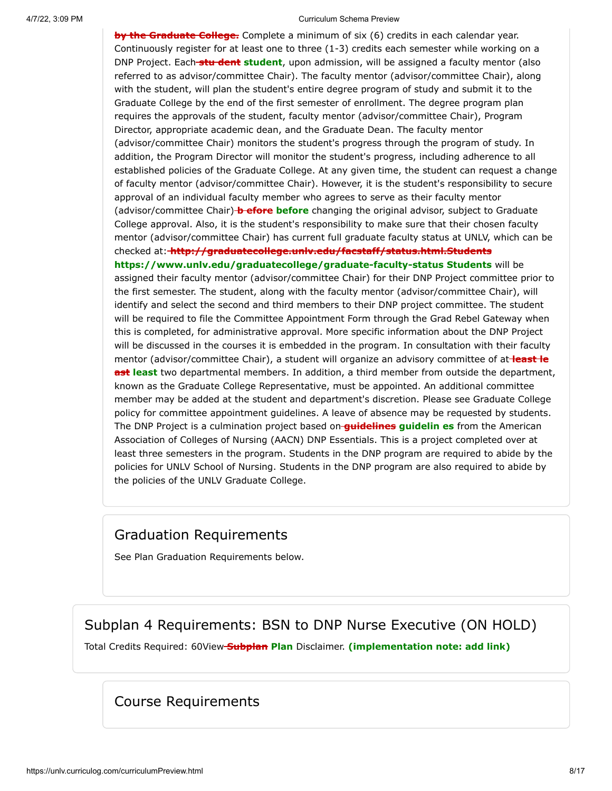**by the Graduate College.** Complete a minimum of six (6) credits in each calendar year. Continuously register for at least one to three (1-3) credits each semester while working on a DNP Project. Each **stu dent student**, upon admission, will be assigned a faculty mentor (also referred to as advisor/committee Chair). The faculty mentor (advisor/committee Chair), along with the student, will plan the student's entire degree program of study and submit it to the Graduate College by the end of the first semester of enrollment. The degree program plan requires the approvals of the student, faculty mentor (advisor/committee Chair), Program Director, appropriate academic dean, and the Graduate Dean. The faculty mentor (advisor/committee Chair) monitors the student's progress through the program of study. In addition, the Program Director will monitor the student's progress, including adherence to all established policies of the Graduate College. At any given time, the student can request a change of faculty mentor (advisor/committee Chair). However, it is the student's responsibility to secure approval of an individual faculty member who agrees to serve as their faculty mentor (advisor/committee Chair) **b efore before** changing the original advisor, subject to Graduate College approval. Also, it is the student's responsibility to make sure that their chosen faculty mentor (advisor/committee Chair) has current full graduate faculty status at UNLV, which can be checked at: **http://graduatecollege.unlv.edu/facstaff/status.html.Students https://www.unlv.edu/graduatecollege/graduate-faculty-status Students** will be assigned their faculty mentor (advisor/committee Chair) for their DNP Project committee prior to the first semester. The student, along with the faculty mentor (advisor/committee Chair), will identify and select the second and third members to their DNP project committee. The student will be required to file the Committee Appointment Form through the Grad Rebel Gateway when this is completed, for administrative approval. More specific information about the DNP Project will be discussed in the courses it is embedded in the program. In consultation with their faculty mentor (advisor/committee Chair), a student will organize an advisory committee of at **least le ast least** two departmental members. In addition, a third member from outside the department, known as the Graduate College Representative, must be appointed. An additional committee member may be added at the student and department's discretion. Please see Graduate College policy for committee appointment guidelines. A leave of absence may be requested by students. The DNP Project is a culmination project based on **guidelines guidelin es** from the American Association of Colleges of Nursing (AACN) DNP Essentials. This is a project completed over at least three semesters in the program. Students in the DNP program are required to abide by the policies for UNLV School of Nursing. Students in the DNP program are also required to abide by the policies of the UNLV Graduate College.

### Graduation Requirements

See Plan Graduation Requirements below.

## Subplan 4 Requirements: BSN to DNP Nurse Executive (ON HOLD)

Total Credits Required: 60View **Subplan Plan** Disclaimer. **(implementation note: add link)**

### Course Requirements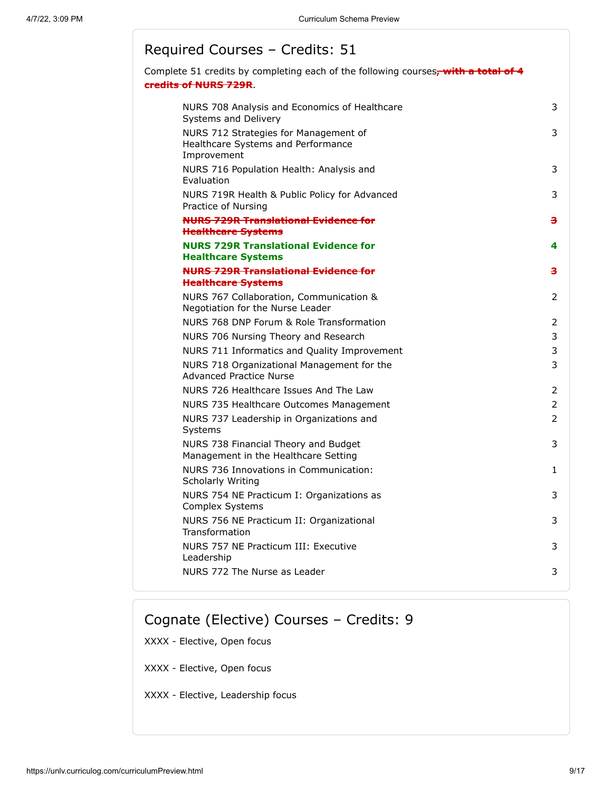## Required Courses – Credits: 51

Complete 51 credits by completing each of the following courses**, with a total of 4 credits of NURS 729R**.

| NURS 708 Analysis and Economics of Healthcare<br>Systems and Delivery                      | 3              |
|--------------------------------------------------------------------------------------------|----------------|
| NURS 712 Strategies for Management of<br>Healthcare Systems and Performance<br>Improvement | 3              |
| NURS 716 Population Health: Analysis and<br>Evaluation                                     | 3              |
| NURS 719R Health & Public Policy for Advanced<br>Practice of Nursing                       | 3              |
| <b>NURS 729R Translational Evidence for</b><br><b>Healthcare Systems</b>                   | з              |
| <b>NURS 729R Translational Evidence for</b><br><b>Healthcare Systems</b>                   | 4              |
| <b>NURS 729R Translational Evidence for</b>                                                | з              |
| <b>Healthcare Systems</b>                                                                  |                |
| NURS 767 Collaboration, Communication &<br>Negotiation for the Nurse Leader                | 2              |
| NURS 768 DNP Forum & Role Transformation                                                   | 2              |
| NURS 706 Nursing Theory and Research                                                       | 3              |
| NURS 711 Informatics and Quality Improvement                                               | 3              |
| NURS 718 Organizational Management for the<br><b>Advanced Practice Nurse</b>               | 3              |
| NURS 726 Healthcare Issues And The Law                                                     | 2              |
| NURS 735 Healthcare Outcomes Management                                                    | 2              |
| NURS 737 Leadership in Organizations and<br>Systems                                        | $\overline{2}$ |
| NURS 738 Financial Theory and Budget<br>Management in the Healthcare Setting               | 3              |
| NURS 736 Innovations in Communication:<br>Scholarly Writing                                | 1.             |
| NURS 754 NE Practicum I: Organizations as<br>Complex Systems                               | 3              |
| NURS 756 NE Practicum II: Organizational<br>Transformation                                 | 3              |
| NURS 757 NE Practicum III: Executive<br>Leadership                                         | 3              |
| NURS 772 The Nurse as Leader                                                               | 3              |

## Cognate (Elective) Courses – Credits: 9

XXXX - Elective, Open focus

XXXX - Elective, Open focus

XXXX - Elective, Leadership focus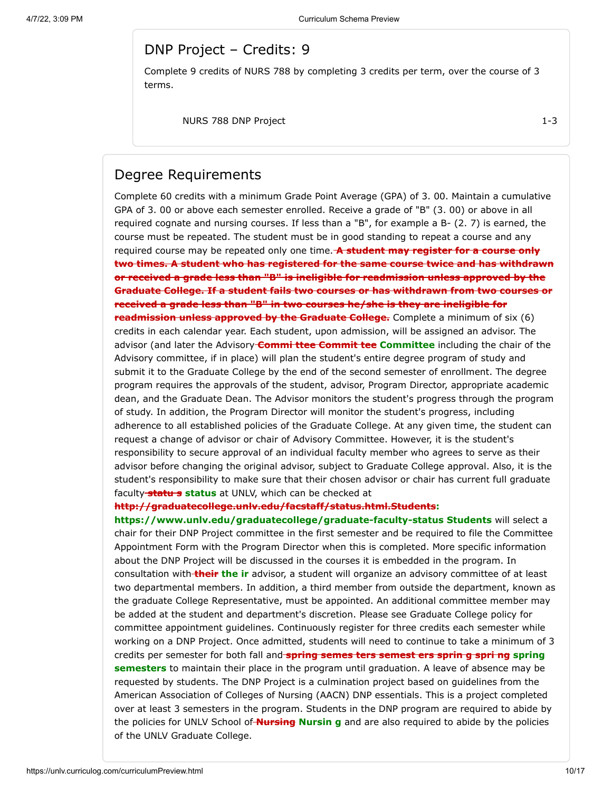### DNP Project – Credits: 9

Complete 9 credits of NURS 788 by completing 3 credits per term, over the course of 3 terms.

NURS 788 DNP Project 1-3

#### Degree Requirements

Complete 60 credits with a minimum Grade Point Average (GPA) of 3. 00. Maintain a cumulative GPA of 3. 00 or above each semester enrolled. Receive a grade of "B" (3. 00) or above in all required cognate and nursing courses. If less than a "B", for example a B- (2. 7) is earned, the course must be repeated. The student must be in good standing to repeat a course and any required course may be repeated only one time. **A student may register for a course only two times. A student who has registered for the same course twice and has withdrawn or received a grade less than "B" is ineligible for readmission unless approved by the Graduate College. If a student fails two courses or has withdrawn from two courses or received a grade less than "B" in two courses he/she is they are ineligible for readmission unless approved by the Graduate College.** Complete a minimum of six (6) credits in each calendar year. Each student, upon admission, will be assigned an advisor. The advisor (and later the Advisory **Commi ttee Commit tee Committee** including the chair of the Advisory committee, if in place) will plan the student's entire degree program of study and submit it to the Graduate College by the end of the second semester of enrollment. The degree program requires the approvals of the student, advisor, Program Director, appropriate academic dean, and the Graduate Dean. The Advisor monitors the student's progress through the program of study. In addition, the Program Director will monitor the student's progress, including adherence to all established policies of the Graduate College. At any given time, the student can request a change of advisor or chair of Advisory Committee. However, it is the student's responsibility to secure approval of an individual faculty member who agrees to serve as their advisor before changing the original advisor, subject to Graduate College approval. Also, it is the student's responsibility to make sure that their chosen advisor or chair has current full graduate faculty **statu s status** at UNLV, which can be checked at

#### **http://graduatecollege.unlv.edu/facstaff/status.html.Students:**

**https://www.unlv.edu/graduatecollege/graduate-faculty-status Students** will select a chair for their DNP Project committee in the first semester and be required to file the Committee Appointment Form with the Program Director when this is completed. More specific information about the DNP Project will be discussed in the courses it is embedded in the program. In consultation with **their the ir** advisor, a student will organize an advisory committee of at least two departmental members. In addition, a third member from outside the department, known as the graduate College Representative, must be appointed. An additional committee member may be added at the student and department's discretion. Please see Graduate College policy for committee appointment guidelines. Continuously register for three credits each semester while working on a DNP Project. Once admitted, students will need to continue to take a minimum of 3 credits per semester for both fall and **spring semes ters semest ers sprin g spri ng spring semesters** to maintain their place in the program until graduation. A leave of absence may be requested by students. The DNP Project is a culmination project based on guidelines from the American Association of Colleges of Nursing (AACN) DNP essentials. This is a project completed over at least 3 semesters in the program. Students in the DNP program are required to abide by the policies for UNLV School of **Nursing Nursin g** and are also required to abide by the policies of the UNLV Graduate College.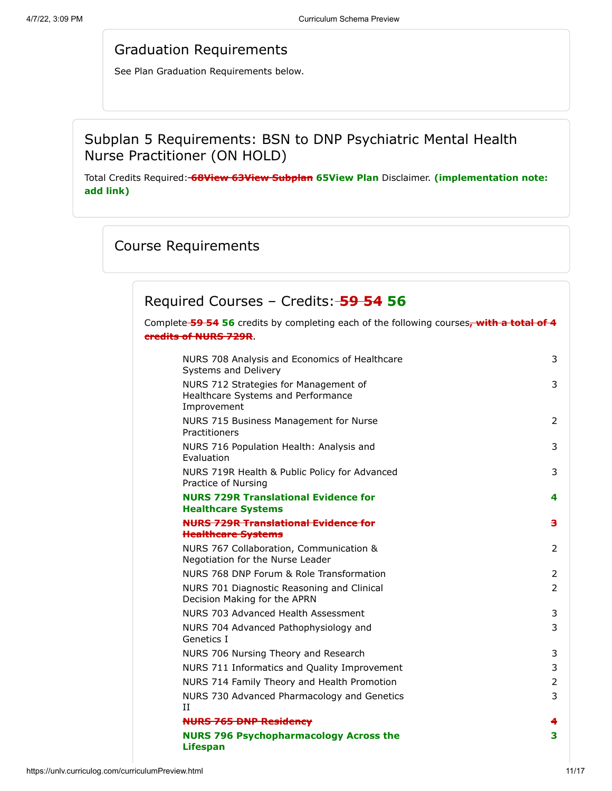### Graduation Requirements

See Plan Graduation Requirements below.

## Subplan 5 Requirements: BSN to DNP Psychiatric Mental Health Nurse Practitioner (ON HOLD)

Total Credits Required: **68View 63View Subplan 65View Plan** Disclaimer. **(implementation note: add link)**

# Course Requirements

### Required Courses – Credits: **59 54 56**

Complete **59 54 56** credits by completing each of the following courses**, with a total of 4 credits of NURS 729R**.

| NURS 708 Analysis and Economics of Healthcare<br>Systems and Delivery                      | 3                       |
|--------------------------------------------------------------------------------------------|-------------------------|
| NURS 712 Strategies for Management of<br>Healthcare Systems and Performance<br>Improvement | 3                       |
| NURS 715 Business Management for Nurse<br>Practitioners                                    | $\mathcal{P}$           |
| NURS 716 Population Health: Analysis and<br>Evaluation                                     | 3                       |
| NURS 719R Health & Public Policy for Advanced<br>Practice of Nursing                       | 3                       |
| <b>NURS 729R Translational Evidence for</b><br><b>Healthcare Systems</b>                   | 4                       |
| <b>NURS 729R Translational Evidence for</b>                                                | $\overline{\mathbf{a}}$ |
| <b>Healthcare Systems</b>                                                                  |                         |
| NURS 767 Collaboration, Communication &<br>Negotiation for the Nurse Leader                | 2                       |
| NURS 768 DNP Forum & Role Transformation                                                   | 2                       |
| NURS 701 Diagnostic Reasoning and Clinical<br>Decision Making for the APRN                 | $\overline{2}$          |
| NURS 703 Advanced Health Assessment                                                        | 3                       |
| NURS 704 Advanced Pathophysiology and<br>Genetics I                                        | 3                       |
| NURS 706 Nursing Theory and Research                                                       | 3                       |
| NURS 711 Informatics and Quality Improvement                                               | 3                       |
| NURS 714 Family Theory and Health Promotion                                                | 2                       |
| NURS 730 Advanced Pharmacology and Genetics<br>$_{\rm II}$                                 | 3                       |
| <b>NURS 765 DNP Residency</b>                                                              | 4                       |
| <b>NURS 796 Psychopharmacology Across the</b><br><b>Lifespan</b>                           | 3                       |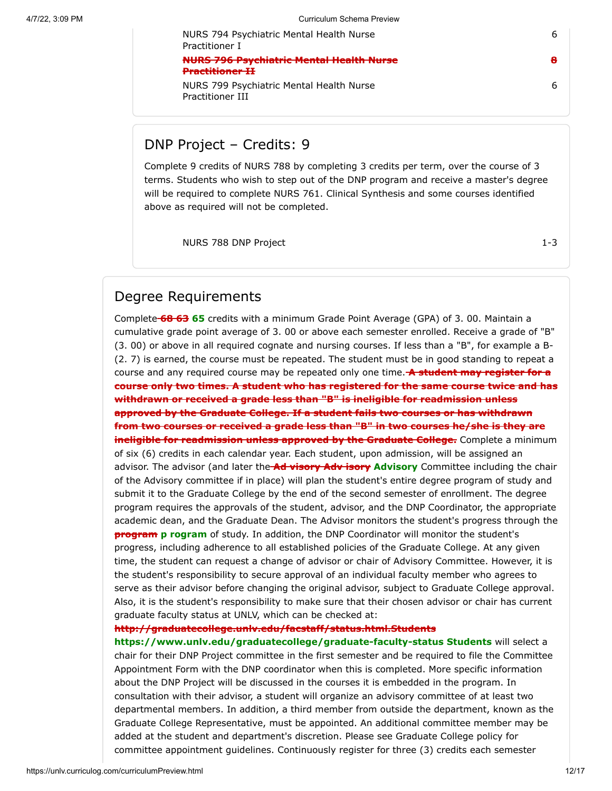6

**8**

6

NURS 799 Psychiatric Mental Health Nurse Practitioner III

NURS 794 Psychiatric Mental Health Nurse

**NURS 796 Psychiatric Mental Health Nurse**

### DNP Project – Credits: 9

Practitioner I

**Practitioner II**

Complete 9 credits of NURS 788 by completing 3 credits per term, over the course of 3 terms. Students who wish to step out of the DNP program and receive a master's degree will be required to complete NURS 761. Clinical Synthesis and some courses identified above as required will not be completed.

NURS 788 DNP Project 1-3

### Degree Requirements

Complete **68 63 65** credits with a minimum Grade Point Average (GPA) of 3. 00. Maintain a cumulative grade point average of 3. 00 or above each semester enrolled. Receive a grade of "B" (3. 00) or above in all required cognate and nursing courses. If less than a "B", for example a B- (2. 7) is earned, the course must be repeated. The student must be in good standing to repeat a course and any required course may be repeated only one time. **A student may register for a course only two times. A student who has registered for the same course twice and has withdrawn or received a grade less than "B" is ineligible for readmission unless approved by the Graduate College. If a student fails two courses or has withdrawn from two courses or received a grade less than "B" in two courses he/she is they are ineligible for readmission unless approved by the Graduate College.** Complete a minimum of six (6) credits in each calendar year. Each student, upon admission, will be assigned an advisor. The advisor (and later the **Ad visory Adv isory Advisory** Committee including the chair of the Advisory committee if in place) will plan the student's entire degree program of study and submit it to the Graduate College by the end of the second semester of enrollment. The degree program requires the approvals of the student, advisor, and the DNP Coordinator, the appropriate academic dean, and the Graduate Dean. The Advisor monitors the student's progress through the **program** p rogram of study. In addition, the DNP Coordinator will monitor the student's progress, including adherence to all established policies of the Graduate College. At any given time, the student can request a change of advisor or chair of Advisory Committee. However, it is the student's responsibility to secure approval of an individual faculty member who agrees to serve as their advisor before changing the original advisor, subject to Graduate College approval. Also, it is the student's responsibility to make sure that their chosen advisor or chair has current graduate faculty status at UNLV, which can be checked at:

#### **http://graduatecollege.unlv.edu/facstaff/status.html.Students**

**https://www.unlv.edu/graduatecollege/graduate-faculty-status Students** will select a chair for their DNP Project committee in the first semester and be required to file the Committee Appointment Form with the DNP coordinator when this is completed. More specific information about the DNP Project will be discussed in the courses it is embedded in the program. In consultation with their advisor, a student will organize an advisory committee of at least two departmental members. In addition, a third member from outside the department, known as the Graduate College Representative, must be appointed. An additional committee member may be added at the student and department's discretion. Please see Graduate College policy for committee appointment guidelines. Continuously register for three (3) credits each semester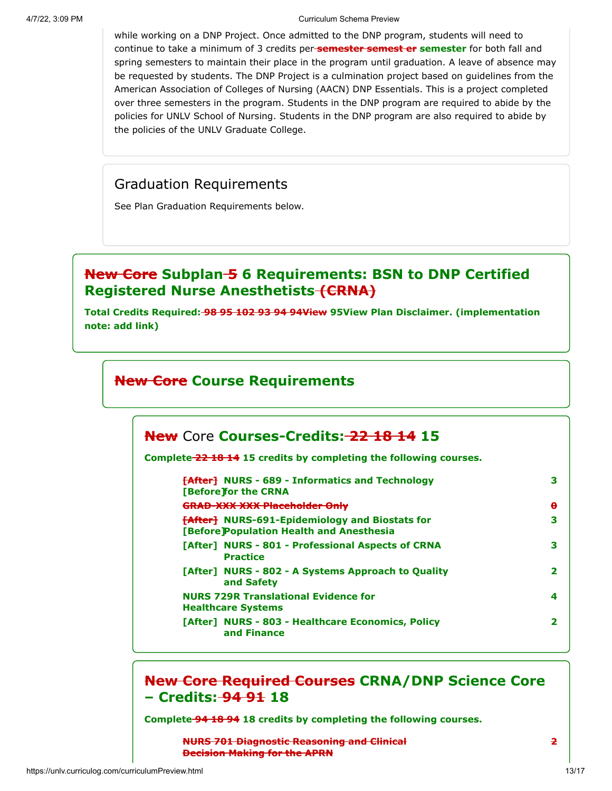while working on a DNP Project. Once admitted to the DNP program, students will need to continue to take a minimum of 3 credits per **semester semest er semester** for both fall and spring semesters to maintain their place in the program until graduation. A leave of absence may be requested by students. The DNP Project is a culmination project based on guidelines from the American Association of Colleges of Nursing (AACN) DNP Essentials. This is a project completed over three semesters in the program. Students in the DNP program are required to abide by the policies for UNLV School of Nursing. Students in the DNP program are also required to abide by the policies of the UNLV Graduate College.

### Graduation Requirements

See Plan Graduation Requirements below.

### **New Core Subplan 5 6 Requirements: BSN to DNP Certified Registered Nurse Anesthetists (CRNA)**

**Total Credits Required: 98 95 102 93 94 94View 95View Plan Disclaimer. (implementation note: add link)**

### **New Core Course Requirements**

### **New** Core **Courses-Credits: 22 18 14 15**

**Complete 22 18 14 15 credits by completing the following courses.**

| <b>FAfter NURS - 689 - Informatics and Technology</b><br>[Before]for the CRNA                      | з            |
|----------------------------------------------------------------------------------------------------|--------------|
| <b>GRAD-XXX XXX Placeholder Only</b>                                                               | $\mathbf{e}$ |
| <b>[After]</b> NURS-691-Epidemiology and Biostats for<br>[Before] Population Health and Anesthesia | 3            |
| [After] NURS - 801 - Professional Aspects of CRNA<br><b>Practice</b>                               | з            |
| [After] NURS - 802 - A Systems Approach to Quality<br>and Safety                                   |              |
| <b>NURS 729R Translational Evidence for</b><br><b>Healthcare Systems</b>                           | 4            |
| [After] NURS - 803 - Healthcare Economics, Policy<br>and Finance                                   |              |

### **New Core Required Courses CRNA/DNP Science Core – Credits: 94 91 18**

**Complete 94 18 94 18 credits by completing the following courses.**

**NURS 701 Diagnostic Reasoning and Clinical Decision Making for the APRN**

**2**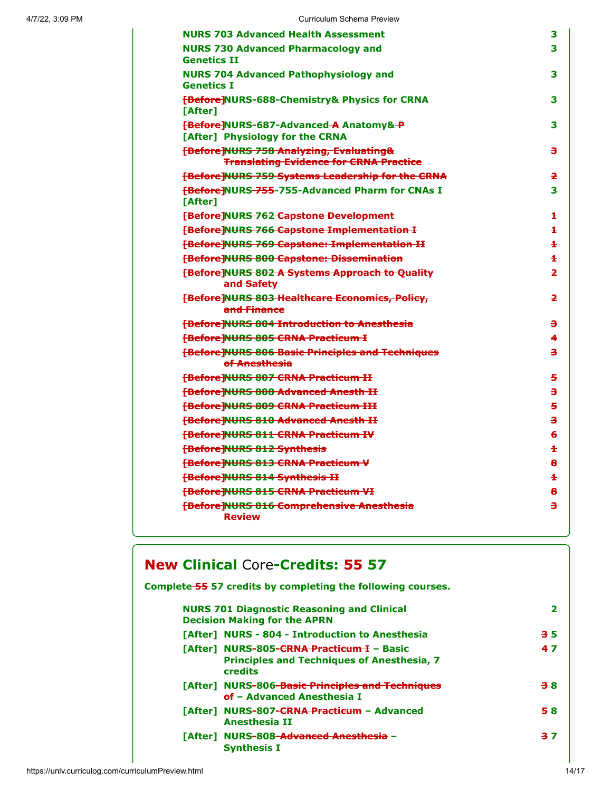| <b>NURS 703 Advanced Health Assessment</b>                                                          | 3                    |
|-----------------------------------------------------------------------------------------------------|----------------------|
| <b>NURS 730 Advanced Pharmacology and</b><br><b>Genetics II</b>                                     | 3                    |
| <b>NURS 704 Advanced Pathophysiology and</b><br><b>Genetics I</b>                                   | 3                    |
| <b>FBefore NURS-688-Chemistry&amp; Physics for CRNA</b><br><b>TAfter1</b>                           | 3                    |
| <b>FBefore NURS-687-Advanced A Anatomy&amp;-P</b><br>[After] Physiology for the CRNA                | 3                    |
| <b>FBefore NURS 758 Analyzing, Evaluating&amp;</b><br><b>Translating Evidence for CRNA Practice</b> | з                    |
| <b>FBefore NURS 759 Systems Leadership for the CRNA</b>                                             | $\overline{2}$       |
| <b>FBefore NURS 755-755-Advanced Pharm for CNAs I</b><br><b>TAfter1</b>                             | 3                    |
| <b>E</b> Before NURS 762 Capstone Development                                                       | $\ddot{\phantom{1}}$ |
| <b>[Before]NURS 766 Capstone Implementation I</b>                                                   | $\ddot{}$            |
| <b>FBefore NURS 769 Capstone: Implementation II</b>                                                 | $\ddot{\phantom{1}}$ |
| <b>FBefore NURS 800 Capstone: Dissemination</b>                                                     | Ŧ                    |
| <b>[Before]NURS 802 A Systems Approach to Quality</b><br>and Safety                                 | $\overline{2}$       |
| <b>[Before]NURS 803 Healthcare Economics, Policy,</b><br>and Finance                                | $\overline{2}$       |
| <b>FBefore NURS 804 Introduction to Anesthesia</b>                                                  | з                    |
| <b>FBefore NURS 805 CRNA Practicum I</b>                                                            | 4                    |
| <b>[Before]NURS 806 Basic Principles and Techniques</b><br>of Anesthesia                            | з                    |
| <b>FBefore NURS 807 CRNA Practicum II</b>                                                           | 5                    |
| <b>FBefore NURS 808 Advanced Anesth II</b>                                                          | з                    |
| <b>[Before]NURS 809 CRNA Practicum III</b>                                                          | 5                    |
| <b>FBefore NURS 810 Advanced Anesth II</b>                                                          | з                    |
| <b>FBefore NURS 811 CRNA Practicum IV</b>                                                           | 6                    |
| <b>FBefore NURS 812 Synthesis</b>                                                                   | $\pm$                |
| <b>FBefore NURS 813 CRNA Practicum V</b>                                                            | 8                    |
| <b>FBefore NURS 814 Synthesis II</b>                                                                | $\ddagger$           |
| <b>[Before]NURS 815 CRNA Practicum VI</b>                                                           | 8                    |
| <b>[Before]NURS 816 Comprehensive Anesthesia</b><br><b>Review</b>                                   | з                    |
|                                                                                                     |                      |

## **New Clinical** Core**-Credits: 55 57**

**Complete 55 57 credits by completing the following courses.**

| <b>NURS 701 Diagnostic Reasoning and Clinical</b><br><b>Decision Making for the APRN</b>                         |    |
|------------------------------------------------------------------------------------------------------------------|----|
| [After] NURS - 804 - Introduction to Anesthesia                                                                  | 35 |
| [After] NURS-805-CRNA Practicum I - Basic<br><b>Principles and Techniques of Anesthesia, 7</b><br><b>credits</b> | 47 |
| [After] NURS-806-Basic Principles and Techniques<br>of - Advanced Anesthesia I                                   | 38 |
| [After] NURS-807-CRNA Practicum - Advanced<br><b>Anesthesia II</b>                                               | 58 |
| [After] NURS-808-Advanced Anesthesia -<br><b>Synthesis I</b>                                                     | 37 |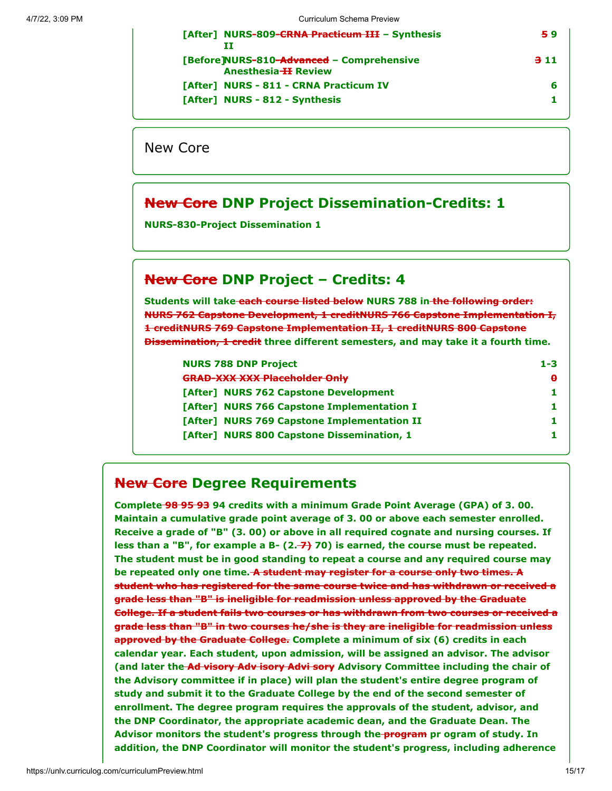| [After] NURS-809-CRNA Practicum III - Synthesis                         | 59  |
|-------------------------------------------------------------------------|-----|
| [Before]NURS-810-Advanced - Comprehensive<br><b>Anesthesia H Review</b> | 311 |
| [After] NURS - 811 - CRNA Practicum IV                                  |     |
| [After] NURS - 812 - Synthesis                                          |     |

New Core

### **New Core DNP Project Dissemination-Credits: 1**

**NURS-830-Project Dissemination 1**

### **New Core DNP Project – Credits: 4**

**Students will take each course listed below NURS 788 in the following order: NURS 762 Capstone Development, 1 creditNURS 766 Capstone Implementation I, 1 creditNURS 769 Capstone Implementation II, 1 creditNURS 800 Capstone Dissemination, 1 credit three different semesters, and may take it a fourth time.**

| 1-3 |
|-----|
| θ.  |
|     |
|     |
|     |
|     |
|     |

### **New Core Degree Requirements**

**Complete 98 95 93 94 credits with a minimum Grade Point Average (GPA) of 3. 00. Maintain a cumulative grade point average of 3. 00 or above each semester enrolled. Receive a grade of "B" (3. 00) or above in all required cognate and nursing courses. If less than a "B", for example a B- (2. 7) 70) is earned, the course must be repeated. The student must be in good standing to repeat a course and any required course may be repeated only one time. A student may register for a course only two times. A student who has registered for the same course twice and has withdrawn or received a grade less than "B" is ineligible for readmission unless approved by the Graduate College. If a student fails two courses or has withdrawn from two courses or received a grade less than "B" in two courses he/she is they are ineligible for readmission unless approved by the Graduate College. Complete a minimum of six (6) credits in each calendar year. Each student, upon admission, will be assigned an advisor. The advisor (and later the Ad visory Adv isory Advi sory Advisory Committee including the chair of the Advisory committee if in place) will plan the student's entire degree program of study and submit it to the Graduate College by the end of the second semester of enrollment. The degree program requires the approvals of the student, advisor, and the DNP Coordinator, the appropriate academic dean, and the Graduate Dean. The Advisor monitors the student's progress through the program pr ogram of study. In addition, the DNP Coordinator will monitor the student's progress, including adherence**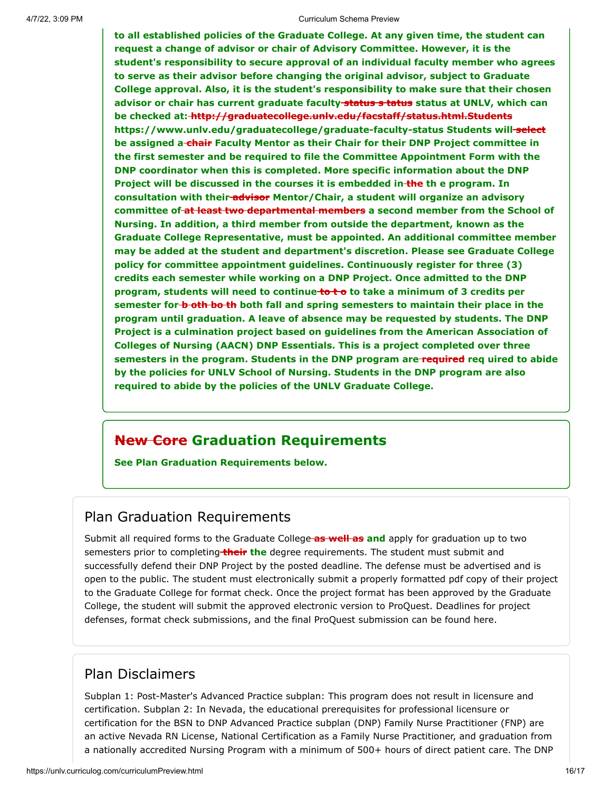**to all established policies of the Graduate College. At any given time, the student can request a change of advisor or chair of Advisory Committee. However, it is the student's responsibility to secure approval of an individual faculty member who agrees to serve as their advisor before changing the original advisor, subject to Graduate College approval. Also, it is the student's responsibility to make sure that their chosen advisor or chair has current graduate faculty status s tatus status at UNLV, which can be checked at: http://graduatecollege.unlv.edu/facstaff/status.html.Students https://www.unlv.edu/graduatecollege/graduate-faculty-status Students will select be assigned a chair Faculty Mentor as their Chair for their DNP Project committee in the first semester and be required to file the Committee Appointment Form with the DNP coordinator when this is completed. More specific information about the DNP Project will be discussed in the courses it is embedded in the th e program. In consultation with their advisor Mentor/Chair, a student will organize an advisory committee of at least two departmental members a second member from the School of Nursing. In addition, a third member from outside the department, known as the Graduate College Representative, must be appointed. An additional committee member may be added at the student and department's discretion. Please see Graduate College policy for committee appointment guidelines. Continuously register for three (3) credits each semester while working on a DNP Project. Once admitted to the DNP** program, students will need to continue to to take a minimum of 3 credits per **semester for b oth bo th both fall and spring semesters to maintain their place in the program until graduation. A leave of absence may be requested by students. The DNP Project is a culmination project based on guidelines from the American Association of Colleges of Nursing (AACN) DNP Essentials. This is a project completed over three semesters in the program. Students in the DNP program are required req uired to abide by the policies for UNLV School of Nursing. Students in the DNP program are also required to abide by the policies of the UNLV Graduate College.**

### **New Core Graduation Requirements**

**See Plan Graduation Requirements below.**

### Plan Graduation Requirements

Submit all required forms to the Graduate College **as well as and** apply for graduation up to two semesters prior to completing **their the** degree requirements. The student must submit and successfully defend their DNP Project by the posted deadline. The defense must be advertised and is open to the public. The student must electronically submit a properly formatted pdf copy of their project to the Graduate College for format check. Once the project format has been approved by the Graduate College, the student will submit the approved electronic version to ProQuest. Deadlines for project defenses, format check submissions, and the final ProQuest submission can be found here.

### Plan Disclaimers

Subplan 1: Post-Master's Advanced Practice subplan: This program does not result in licensure and certification. Subplan 2: In Nevada, the educational prerequisites for professional licensure or certification for the BSN to DNP Advanced Practice subplan (DNP) Family Nurse Practitioner (FNP) are an active Nevada RN License, National Certification as a Family Nurse Practitioner, and graduation from a nationally accredited Nursing Program with a minimum of 500+ hours of direct patient care. The DNP